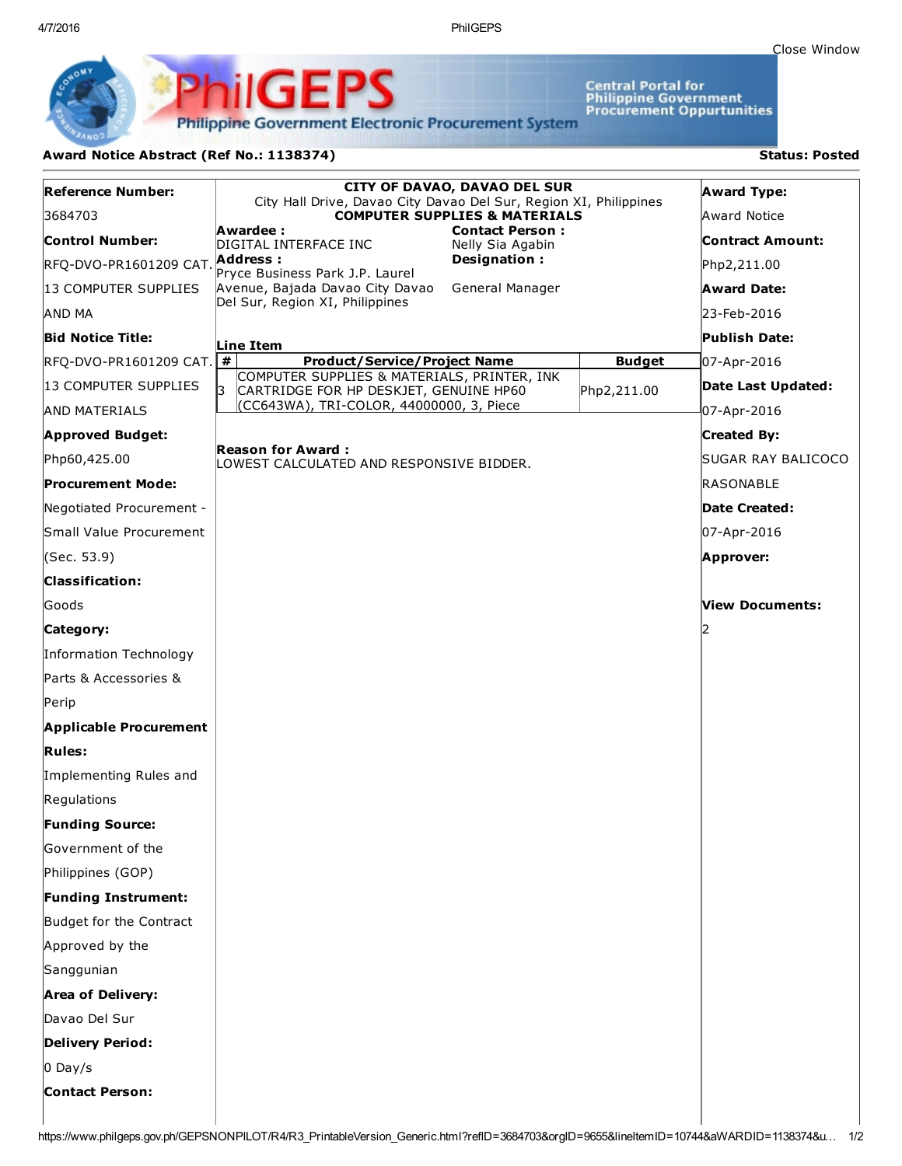4/7/2016 PhilGEPS

Central Portal for<br>Philippine Government<br>Procurement Oppurtunities

**Philippine Government Electronic Procurement System** 

PS

iliGEI

## Award Notice Abstract (Ref No.: 1138374) Status: Posted

Ph

| <b>Reference Number:</b>      | <b>CITY OF DAVAO, DAVAO DEL SUR</b><br>City Hall Drive, Davao City Davao Del Sur, Region XI, Philippines | <b>Award Type:</b> |                      |
|-------------------------------|----------------------------------------------------------------------------------------------------------|--------------------|----------------------|
| 3684703                       | <b>COMPUTER SUPPLIES &amp; MATERIALS</b>                                                                 |                    | Award Notice         |
| <b>Control Number:</b>        | Awardee :<br><b>Contact Person:</b><br>DIGITAL INTERFACE INC<br>Nelly Sia Agabin                         |                    | Contract Amount:     |
| RFQ-DVO-PR1601209 CAT.        | Designation:<br>Address :<br>Pryce Business Park J.P. Laurel                                             |                    | Php2,211.00          |
| 13 COMPUTER SUPPLIES          | Avenue, Bajada Davao City Davao<br>General Manager                                                       |                    | Award Date:          |
| AND MA                        | Del Sur, Region XI, Philippines                                                                          |                    | 23-Feb-2016          |
| <b>Bid Notice Title:</b>      | Line Item                                                                                                |                    | Publish Date:        |
| RFQ-DVO-PR1601209 CAT.        | #<br><b>Product/Service/Project Name</b>                                                                 | <b>Budget</b>      | 07-Apr-2016          |
| 13 COMPUTER SUPPLIES          | COMPUTER SUPPLIES & MATERIALS, PRINTER, INK<br>l3.<br>CARTRIDGE FOR HP DESKJET, GENUINE HP60             | Php2,211.00        | Date Last Updated:   |
| <b>AND MATERIALS</b>          | (CC643WA), TRI-COLOR, 44000000, 3, Piece                                                                 |                    | 07-Apr-2016          |
| <b>Approved Budget:</b>       |                                                                                                          |                    | <b>Created By:</b>   |
| Php60,425.00                  | <b>Reason for Award:</b><br>LOWEST CALCULATED AND RESPONSIVE BIDDER.                                     |                    | SUGAR RAY BALICOCO   |
| <b>Procurement Mode:</b>      |                                                                                                          |                    | RASONABLE            |
| Negotiated Procurement -      |                                                                                                          |                    | <b>Date Created:</b> |
| Small Value Procurement       |                                                                                                          |                    | 07-Apr-2016          |
| (Sec. 53.9)                   |                                                                                                          |                    | Approver:            |
| <b>Classification:</b>        |                                                                                                          |                    |                      |
| Goods                         |                                                                                                          |                    | View Documents:      |
| Category:                     |                                                                                                          |                    | 2                    |
| Information Technology        |                                                                                                          |                    |                      |
| Parts & Accessories &         |                                                                                                          |                    |                      |
| Perip                         |                                                                                                          |                    |                      |
| <b>Applicable Procurement</b> |                                                                                                          |                    |                      |
| <b>Rules:</b>                 |                                                                                                          |                    |                      |
| Implementing Rules and        |                                                                                                          |                    |                      |
| Regulations                   |                                                                                                          |                    |                      |
| <b>Funding Source:</b>        |                                                                                                          |                    |                      |
| Government of the             |                                                                                                          |                    |                      |
| Philippines (GOP)             |                                                                                                          |                    |                      |
| Funding Instrument:           |                                                                                                          |                    |                      |
| Budget for the Contract       |                                                                                                          |                    |                      |
| Approved by the               |                                                                                                          |                    |                      |
| Sanggunian                    |                                                                                                          |                    |                      |
| <b>Area of Delivery:</b>      |                                                                                                          |                    |                      |
| Davao Del Sur                 |                                                                                                          |                    |                      |
| <b>Delivery Period:</b>       |                                                                                                          |                    |                      |
| $0$ Day/s                     |                                                                                                          |                    |                      |
| <b>Contact Person:</b>        |                                                                                                          |                    |                      |
|                               |                                                                                                          |                    |                      |